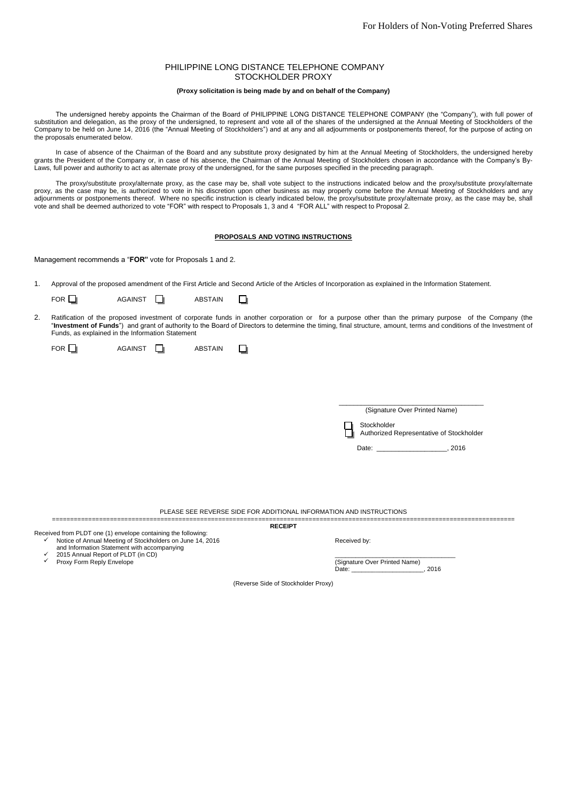# PHILIPPINE LONG DISTANCE TELEPHONE COMPANY STOCKHOLDER PROXY

## **(Proxy solicitation is being made by and on behalf of the Company)**

The undersigned hereby appoints the Chairman of the Board of PHILIPPINE LONG DISTANCE TELEPHONE COMPANY (the "Company"), with full power of substitution and delegation, as the proxy of the undersigned, to represent and vote all of the shares of the undersigned at the Annual Meeting of Stockholders of the Company to be held on June 14, 2016 (the "Annual Meeting of Stockholders") and at any and all adjournments or postponements thereof, for the purpose of acting on the proposals enumerated below.

In case of absence of the Chairman of the Board and any substitute proxy designated by him at the Annual Meeting of Stockholders, the undersigned hereby grants the President of the Company or, in case of his absence, the Chairman of the Annual Meeting of Stockholders chosen in accordance with the Company's By-Laws, full power and authority to act as alternate proxy of the undersigned, for the same purposes specified in the preceding paragraph.

The proxy/substitute proxy/alternate proxy, as the case may be, shall vote subject to the instructions indicated below and the proxy/substitute proxy/alternate proxy, as the case may be, is authorized to vote in his discretion upon other business as may properly come before the Annual Meeting of Stockholders and any adjournments or postponements thereof. Where no specific instruction is clearly indicated below, the proxy/substitute proxy/alternate proxy, as the case may be, shall vote and shall be deemed authorized to vote "FOR" with respect to Proposals 1, 3 and 4 "FOR ALL" with respect to Proposal 2.

## **PROPOSALS AND VOTING INSTRUCTIONS**

Management recommends a "**FOR"** vote for Proposals 1 and 2.

1. Approval of the proposed amendment of the First Article and Second Article of the Articles of Incorporation as explained in the Information Statement.

| FOR I |  | <b>AGAINST</b> |  | <b>ABSTAIN</b> |  |  |
|-------|--|----------------|--|----------------|--|--|
|-------|--|----------------|--|----------------|--|--|

2. Ratification of the proposed investment of corporate funds in another corporation or for a purpose other than the primary purpose of the Company (the "**Investment of Funds**") and grant of authority to the Board of Directors to determine the timing, final structure, amount, terms and conditions of the Investment of Funds, as explained in the Information Statement

| FOR $\square$ | <b>AGAINST</b> | <b>ABSTAIN</b> |  |
|---------------|----------------|----------------|--|
|---------------|----------------|----------------|--|

| (Signature Over Printed Name) |
|-------------------------------|
| I li Stockholder              |

Authorized Representative of Stockholder

Date: \_\_\_\_\_\_\_\_\_\_\_\_\_\_\_\_\_\_\_\_, 2016

PLEASE SEE REVERSE SIDE FOR ADDITIONAL INFORMATION AND INSTRUCTIONS ================================================================================================================================

Received from PLDT one (1) envelope containing the following: ✓ Notice of Annual Meeting of Stockholders on June 14, 2016 and Information Statement with accompanying

 $\checkmark$ 

- ✓ 2015 Annual Report of PLDT (in CD) Proxy Form Reply Envelope
- 

Received by:

\_\_\_\_\_\_\_\_\_\_\_\_\_\_\_\_\_\_\_\_\_\_\_\_\_\_\_\_\_\_\_\_\_\_\_ (Signature Over Printed Name) Date: 2016

(Reverse Side of Stockholder Proxy)